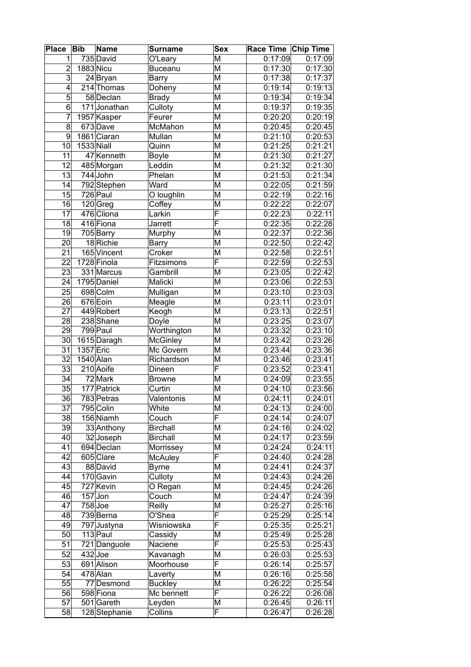| <b>Place</b>            | <b>Bib</b> | <b>Name</b>           | <b>Surname</b>          | <b>Sex</b>                   | Race Time Chip Time |                    |
|-------------------------|------------|-----------------------|-------------------------|------------------------------|---------------------|--------------------|
| 1                       |            | 735 David             | O'Leary                 | M                            | 0:17:09             | 0:17:09            |
| $\overline{c}$          | 1883 Nicu  |                       | <b>Buceanu</b>          | M                            | 0:17:30             | 0:17:30            |
| $\overline{\mathbf{3}}$ |            | 24 Bryan              | Barry                   | $\overline{\mathsf{M}}$      | 0:17:38             | 0:17:37            |
| 4                       |            | 214 Thomas            | Doheny                  | M                            | 0:19:14             | 0:19:13            |
| $\overline{5}$          |            | 58 Declan             | <b>Brady</b>            | M                            | 0:19:34             | 0:19:34            |
| 6                       |            | 171Jonathan           | Culloty                 | M                            | 0:19:37             | 0:19:35            |
| 7                       |            | 1957 Kasper           | Feurer                  | M                            | 0:20:20             | 0:20:19            |
| 8                       |            | 673Dave               | McMahon                 | M                            | 0:20:45             | 0:20:45            |
| 9                       |            | 1861 Ciaran           | Mullan                  | M                            | 0:21:10             | 0:20:53            |
| 10                      | 1533 Niall |                       | Quinn                   | M                            | 0:21:25             | 0:21:21            |
| 11                      |            | 47 Kenneth            | <b>Boyle</b>            | M                            | 0:21:30             | 0:21:27            |
| 12                      |            | 485 Morgan            | Leddin                  | M                            | 0:21:32             | 0:21:30            |
| 13                      |            | 744 John              | Phelan                  | M                            | 0:21:53             | 0:21:34            |
| 14                      |            | 792 Stephen           | Ward                    | M                            | 0:22:05             | 0:21:59            |
| 15                      |            | $726$ Paul            | O loughlin              | M                            | 0:22:19             | 0:22:16            |
| $\overline{16}$         |            | 120 Greg              | Coffey                  | $\overline{\mathsf{M}}$      | 0:22:22             | 0:22:07            |
| $\overline{17}$         |            | 476 Cliona            | Larkin                  | $\overline{\mathsf{F}}$      | 0:22:23             | 0:22:11            |
| $\overline{18}$         |            | 416 Fiona             | Jarrett                 | F                            | 0:22:35             | 0:22:28            |
| 19                      |            | 705 Barry             | Murphy                  | M                            | 0:22:37             | 0:22:36            |
| 20                      |            | 18 Richie             | <b>Barry</b>            | M                            | 0:22:50             | 0:22:42            |
| 21                      |            | 165 Vincent           | Croker                  | M                            | 0:22:58             | 0:22:51            |
| $\overline{22}$         |            | 1728 Finola           | Fitzsimons              | $\overline{\mathsf{F}}$      | 0:22:59             | 0:22:53            |
| 23                      |            | 331 Marcus            | Gambrill                | M                            | 0:23:05             | 0:22:42            |
| 24                      |            | 1795 Daniel           | Malicki                 | M                            | 0:23:06             | 0:22:53            |
| 25                      |            | 698 Colm              | Mulligan                | Μ                            | 0:23:10             | 0:23:03            |
| 26                      |            | 676 Eoin              | Meagle                  | M                            | 0:23:11             | 0:23:01            |
| $\overline{27}$         |            | 449 Robert            | Keogh                   | M                            | 0:23:13             | 0:22:51            |
| 28                      |            | 238 Shane             | Doyle                   | M                            | 0:23:25             | 0:23:07            |
| $\overline{29}$         |            | 799 Paul              | Worthington             | M                            | 0:23:32             | 0:23:10            |
| 30                      |            | 1615 Daragh           | McGinley                | M                            | 0:23:42             | 0:23:26            |
| 31                      | 1357 Eric  |                       | Mc Govern               | M                            | 0:23:44             | 0:23:36            |
| $\overline{32}$         | 1540 Alan  |                       | Richardson              | M                            | 0:23:46             | 0:23:41            |
| $\overline{33}$         |            | 210 Aoife             | Dineen                  | F                            | 0:23:52             | 0:23:41            |
| $\overline{34}$         |            | 72 Mark               | <b>Browne</b>           | M                            | 0:24:09             | 0:23:55            |
| $\overline{35}$         |            | 177 Patrick           | Curtin                  | M                            | 0:24:10             | 0:23:56            |
| 36                      |            | 783 Petras            | Valentonis              | M                            | 0:24:11             | 0:24:01            |
| 37                      |            | 795 Colin             | White                   | M<br>$\overline{\mathsf{F}}$ | 0:24:13             | 0:24:00            |
| 38                      |            | 156 Niamh             | Couch                   |                              | 0:24:14             | 0:24:07            |
| 39                      |            | 33 Anthony            | <b>Birchall</b>         | M                            | 0:24:16             | 0:24:02            |
| 40<br>41                |            | 32 Joseph             | <b>Birchall</b>         | M<br>M                       | 0:24:17             | 0:23:59            |
| 42                      |            | 694 Declan            | Morrissey               | F                            | 0:24:24             | 0:24:11            |
| 43                      |            | 605 Clare<br>88 David | McAuley<br><b>Byrne</b> | M                            | 0:24:40<br>0:24:41  | 0:24:28<br>0:24:37 |
| 44                      |            | 170 Gavin             | Culloty                 | M                            | 0:24:43             | 0:24:26            |
| 45                      |            | 727 Kevin             | O Regan                 | M                            | 0:24:45             | 0:24:26            |
| 46                      |            | $157$ Jon             | Couch                   | M                            | 0:24:47             | 0:24:39            |
| 47                      |            | $758$ Joe             | Reilly                  | М                            | 0:25:27             | 0:25:16            |
| 48                      |            | 739 Berna             | O'Shea                  | F                            | 0:25:29             | 0:25:14            |
| 49                      |            | 797 Justyna           | Wisniowska              | F                            | 0:25:35             | 0:25:21            |
| 50                      |            | $113$ Paul            | Cassidy                 | М                            | 0:25:49             | 0:25:28            |
| 51                      |            | 721 Danguole          | Naciene                 | F                            | 0:25:53             | 0:25:43            |
| 52                      | $432$ Joe  |                       | Kavanagh                | М                            | 0:26:03             | 0:25:53            |
| 53                      |            | 691 Alison            | Moorhouse               | F                            | 0:26:14             | 0:25:57            |
| 54                      |            | 478 Alan              | Laverty                 | M                            | 0:26:16             | 0:25:58            |
| 55                      |            | 77 Desmond            | <b>Buckley</b>          | M                            | 0:26:22             | 0:25:54            |
| 56                      |            | 598 Fiona             | Mc bennett              | F                            | 0:26:22             | 0:26:08            |
| 57                      |            | 501 Gareth            | Leyden                  | M                            | 0:26:45             | 0:26:11            |
| 58                      |            | 128 Stephanie         | Collins                 | F                            | 0:26:47             | 0:26:28            |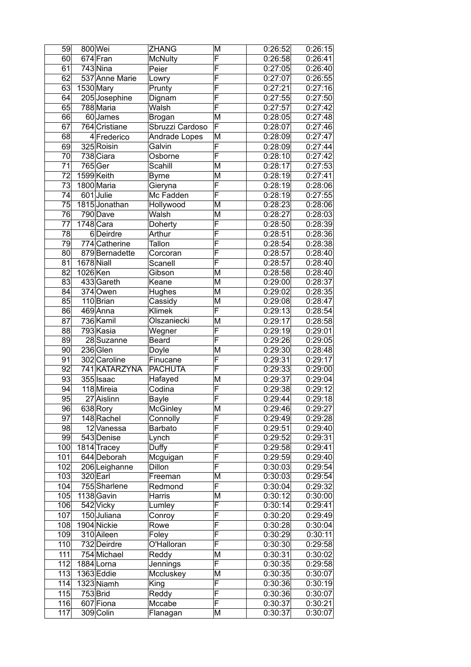| 59               |            | 800 Wei                    | <b>ZHANG</b>         | Μ                            | 0:26:52 | 0:26:15 |
|------------------|------------|----------------------------|----------------------|------------------------------|---------|---------|
| 60 <sub>0</sub>  |            | 674 Fran                   | <b>McNulty</b>       | F                            | 0:26:58 | 0:26:41 |
| 61               |            | 743 Nina                   | Peier                | F                            | 0:27:05 | 0:26:40 |
| $\overline{62}$  |            | 537 Anne Marie             | Lowry                | $\overline{\mathsf{F}}$      | 0:27:07 | 0:26:55 |
| 63               |            | 1530 Mary                  | Prunty               | $\overline{\mathsf{F}}$      | 0:27:21 | 0:27:16 |
| 64               |            | 205 Josephine              | Dignam               | $\overline{\mathsf{F}}$      | 0:27:55 | 0:27:50 |
| 65               |            | 788 Maria                  | Walsh                | F                            | 0:27:57 | 0:27:42 |
| 66               |            | 60 James                   | Brogan               | M                            | 0:28:05 | 0:27:48 |
| 67               |            | 764 Cristiane              | Sbruzzi Cardoso      | F                            | 0:28:07 | 0:27:46 |
| 68               |            | 4 Frederico                | Andrade Lopes        | M                            | 0:28:09 | 0:27:47 |
| 69               |            | 325 Roisin                 | Galvin               | F                            | 0:28:09 | 0:27:44 |
| 70               |            | 738 Ciara                  | Osborne              | F                            | 0:28:10 | 0:27:42 |
| 71               |            | 765 Ger                    | Scahill              | M                            | 0:28:17 | 0:27:53 |
| 72               |            | 1599 Keith                 | <b>Byrne</b>         | M                            | 0:28:19 | 0:27:41 |
| 73               |            | 1800 Maria                 | Gieryna              | $\overline{\mathsf{F}}$      | 0:28:19 | 0:28:06 |
| 74               |            | 601 Julie                  | Mc Fadden            | $\overline{\mathsf{F}}$      | 0:28:19 | 0:27:55 |
| $\overline{75}$  |            | 1815 Jonathan              | Hollywood            | $\overline{\mathsf{M}}$      | 0:28:23 | 0:28:06 |
| 76               |            | 790 Dave                   | Walsh                | M                            | 0:28:27 | 0:28:03 |
| 77               |            | $1748$ Cara                | Doherty              | F                            | 0:28:50 | 0:28:39 |
| 78               |            | 6Deirdre                   |                      | F                            |         | 0:28:36 |
|                  |            |                            | Arthur               | $\overline{\mathsf{F}}$      | 0:28:51 |         |
| 79               |            | 774 Catherine              | Tallon               | $\overline{\mathsf{F}}$      | 0:28:54 | 0:28:38 |
| 80               |            | 879 Bernadette             | Corcoran             | $\overline{\mathsf{F}}$      | 0:28:57 | 0:28:40 |
| 81               | 1678 Niall |                            | Scanell              |                              | 0:28:57 | 0:28:40 |
| $\overline{82}$  | 1026 Ken   |                            | Gibson               | M                            | 0:28:58 | 0:28:40 |
| 83               |            | 433 Gareth                 | Keane                | M                            | 0:29:00 | 0:28:37 |
| 84               |            | 374 Owen                   | Hughes               | M                            | 0:29:02 | 0:28:35 |
| 85               |            | 110 Brian                  | Cassidy              | M                            | 0:29:08 | 0:28:47 |
| 86               |            | 469 Anna                   | <b>Klimek</b>        | $\overline{\mathsf{F}}$      | 0:29:13 | 0:28:54 |
| 87               |            | 736 Kamil                  | Olszaniecki          | M                            | 0:29:17 | 0:28:58 |
| 88               |            | 793 Kasia                  | Wegner               | F                            | 0:29:19 | 0:29:01 |
| 89               |            | 28 Suzanne                 | <b>Beard</b>         | F                            | 0:29:26 | 0:29:05 |
| 90               |            | 236 Glen                   | Doyle                | M                            | 0:29:30 | 0:28:48 |
| 91               |            | 302 Caroline               | Finucane             | F<br>$\overline{\mathsf{F}}$ | 0:29:31 | 0:29:17 |
| 92<br>93         |            | 741 KATARZYNA<br>355 Isaac | <b>PACHUTA</b>       |                              | 0:29:33 | 0:29:00 |
| 94               |            |                            | Hafayed              | M<br>$\overline{\mathsf{F}}$ | 0:29:37 | 0:29:04 |
|                  |            | 118 Mireia                 | $\overline{C}$ odina |                              | 0:29:38 | 0:29:12 |
| 95               |            | 27 Aislinn                 | Bayle                | F                            | 0:29:44 | 0:29:18 |
| 96               |            | 638 Rory                   | <b>McGinley</b>      | М                            | 0:29:46 | 0:29:27 |
| 97               |            | 148 Rachel                 | Connolly             | $\overline{\mathsf{F}}$      | 0:29:49 | 0:29:28 |
| 98               |            | 12 Vanessa                 | Barbato              | $\overline{\mathsf{F}}$      | 0:29:51 | 0:29:40 |
| 99               |            | 543 Denise                 | Lynch                | $\overline{\mathsf{F}}$      | 0:29:52 | 0:29:31 |
| $\overline{1}00$ |            | 1814 Tracey                | Duffy                | $\overline{\mathsf{F}}$      | 0:29:58 | 0:29:41 |
| 101              |            | 644 Deborah                | Mcguigan             | F                            | 0:29:59 | 0:29:40 |
| 102              |            | 206 Leighanne              | Dillon               | F                            | 0:30:03 | 0:29:54 |
| 103              |            | 320 Earl                   | Freeman              | M                            | 0:30:03 | 0:29:54 |
| 104              |            | 755 Sharlene               | Redmond              | F                            | 0:30:04 | 0:29:32 |
| 105              |            | 1138 Gavin                 | Harris               | M                            | 0:30:12 | 0:30:00 |
| 106              |            | 542 Vicky                  | Lumley               | $\overline{\mathsf{F}}$      | 0:30:14 | 0:29:41 |
| 107              |            | 150 Juliana                | Conroy               | F                            | 0:30:20 | 0:29:49 |
| 108              |            | 1904 Nickie                | Rowe                 | F                            | 0:30:28 | 0:30:04 |
| 109              |            | 310 Aileen                 | Foley                | F                            | 0:30:29 | 0:30:11 |
| 110              |            | 732 Deirdre                | O'Halloran           | $\overline{\mathsf{F}}$      | 0:30:30 | 0:29:58 |
| 111              |            | 754 Michael                | Reddy                | М                            | 0:30:31 | 0:30:02 |
| 112              |            | 1884 Lorna                 | Jennings             | F                            | 0:30:35 | 0:29:58 |
| 113              |            | 1363 Eddie                 | Mccluskey            | M                            | 0:30:35 | 0:30:07 |
| 114              |            | 1323 Niamh                 | King                 | F                            | 0:30:36 | 0:30:19 |
| 115              |            | 753 Brid                   | Reddy                | F                            | 0:30:36 | 0:30:07 |
| 116              |            | 607 Fiona                  | Mccabe               | F                            | 0:30:37 | 0:30:21 |
| 117              |            | 309 Colin                  | Flanagan             | M                            | 0:30:37 | 0:30:07 |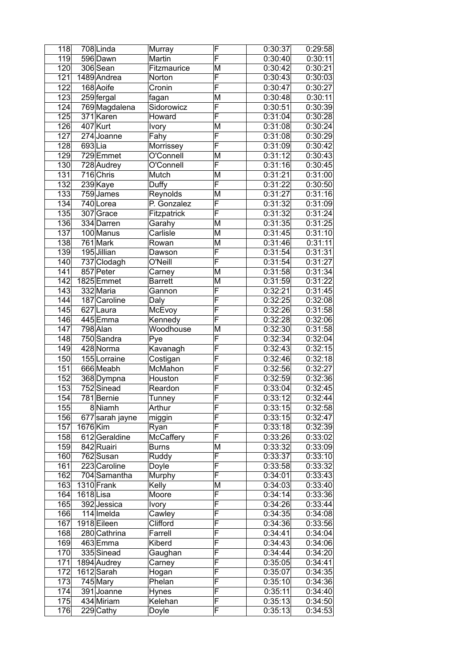| 118              |          | 708Linda                | Murray                   | F                       | 0:30:37            | 0:29:58               |
|------------------|----------|-------------------------|--------------------------|-------------------------|--------------------|-----------------------|
| 119              |          | 596 Dawn                | Martin                   | F                       | 0:30:40            | 0:30:11               |
| 120              |          | 306 Sean                | Fitzmaurice              | M                       | 0:30:42            | 0:30:21               |
| 121              |          | 1489 Andrea             | Norton                   | F                       | 0:30:43            | 0:30:03               |
| 122              |          | 168 Aoife               | Cronin                   | F                       | 0:30:47            | 0:30:27               |
| 123              |          | 259 fergal              | fagan                    | M                       | 0:30:48            | 0:30:11               |
| 124              |          | 769 Magdalena           | Sidorowicz               | F                       | 0:30:51            | 0:30:39               |
| 125              |          | $371$ Karen             | Howard                   | F                       | 0:31:04            | 0:30:28               |
| 126              |          | $\overline{407}$ Kurt   | Ivory                    | M                       | 0:31:08            | 0:30:24               |
| 127              |          | 274 Joanne              | Fahy                     | F                       | 0:31:08            | 0:30:29               |
| 128              | 693Lia   |                         | Morrissey                | F                       | 0:31:09            | 0:30:42               |
| 129              |          | 729 Emmet               | O'Connell                | M                       | 0:31:12            | 0:30:43               |
| 130              |          | 728 Audrey              | O'Connell                | F                       | 0:31:16            | 0:30:45               |
| 131              |          | 716 Chris               | Mutch                    | M                       | 0:31:21            | 0:31:00               |
| 132              |          | 239 Kaye                | Duffy                    | F                       | 0:31:22            | 0:30:50               |
| 133              |          | 759 James               | Reynolds                 | M                       | 0:31:27            | 0:31:16               |
| 134              |          | 740 Lorea               | P. Gonzalez              | F                       | 0:31:32            | 0:31:09               |
| 135              |          | 307 Grace               | Fitzpatrick              | F                       | 0:31:32            | 0:31:24               |
| 136              |          | 334 Darren              | Garahy                   | M                       | 0:31:35            | 0:31:25               |
| 137              |          | 100 Manus               | Carlisle                 | M                       | 0:31:45            | 0:31:10               |
| 138              |          | 761 Mark                | Rowan                    | M                       | 0:31:46            | 0:31:11               |
| 139              |          | 195 Jillian             | Dawson                   | F                       | 0:31:54            | 0:31:31               |
| 140              |          | 737 Clodagh             | O'Neill                  | $\overline{\mathsf{F}}$ | 0:31:54            | 0:31:27               |
| 141              |          | 857 Peter               | Carney                   | M                       | 0:31:58            | 0:31:34               |
| 142              |          | 1825 Emmet              | <b>Barrett</b>           | M                       | 0:31:59            | 0:31:22               |
| 143              |          | 332 Maria               | Gannon                   | F                       | 0:32:21            | 0:31:45               |
| $\overline{144}$ |          | 187 Caroline            | Daly                     | $\overline{\mathsf{F}}$ | 0:32:25            | 0:32:08               |
| 145              |          | 627 Laura               | McEvoy                   | F                       | 0:32:26            | 0:31:58               |
| 146              |          | 445 Emma                | Kennedy                  | $\overline{\mathsf{F}}$ | 0:32:28            | 0:32:06               |
| 147              |          | 798 Alan                | Woodhouse                | M                       | 0:32:30            | 0:31:58               |
| 148              |          | 750 Sandra              | Pye                      | F                       | 0:32:34            | 0:32:04               |
| 149              |          | 428 Norma               | Kavanagh                 | $\overline{\mathsf{F}}$ | 0:32:43            | 0:32:15               |
| 150              |          | 155 Lorraine            | Costigan                 | F                       | 0:32:46            | 0:32:18               |
| 151              |          | 666 Meabh               | McMahon                  | F                       | 0:32:56            | 0:32:27               |
| 152              |          | 368 Dympna              | Houston                  | F                       | 0:32:59            | 0:32:36               |
| 153              |          | 752 Sinead              | Reardon                  | F                       | 0:33:04            | 0:32:45               |
| 154              |          | 781 Bernie              | Tunney                   | Ē                       | 0:33:12            | 0:32:44               |
| 155              |          | 8Niamh                  | Arthur                   | F                       | 0:33:15            | 0:32:58               |
| 156              |          | 677 sarah jayne         |                          | F                       | 0:33:15            | 0:32:47               |
| 157              | 1676 Kim |                         | miggin                   | F                       | 0:33:18            | 0:32:39               |
|                  |          |                         | Ryan<br><b>McCaffery</b> | F                       |                    |                       |
| 158<br>159       |          | 612 Geraldine           |                          | M                       | 0:33:26<br>0:33:32 | 0:33:02<br>0:33:09    |
| 160              |          | 842 Ruairi<br>762 Susan | <b>Burns</b><br>Ruddy    | F                       | 0:33:37            | 0:33:10               |
|                  |          | 223 Caroline            |                          | F                       |                    |                       |
| 161              |          | 704 Samantha            | Doyle                    | F                       | 0:33:58            | 0:33:32               |
| 162              |          |                         | Murphy                   |                         | 0:34:01<br>0:34:03 | 0:33:43               |
| 163              |          | 1310 Frank              | Kelly<br>Moore           | M<br>F                  |                    | 0:33:40               |
| 164<br>165       | 1618Lisa | 392 Jessica             |                          | F                       | 0:34:14<br>0:34:26 | 0:33:36<br>0:33:44    |
|                  |          |                         | Ivory                    | F                       |                    |                       |
| 166              |          | 114 Imelda              | Cawley                   | F                       | 0:34:35            | 0:34:08               |
| 167              |          | 1918 Eileen             | Clifford                 |                         | 0:34:36            | 0:33:56               |
| 168              |          | 280 Cathrina            | Farrell                  | $\overline{\mathsf{F}}$ | 0:34:41            | 0:34:04               |
| 169              |          | 463 Emma                | Kiberd                   | F                       | 0:34:43            | 0:34:06               |
| 170              |          | 335 Sinead              | Gaughan                  | F                       | 0:34:44            | 0:34:20               |
| 171              |          | 1894 Audrey             | Carney                   | F                       | 0:35:05            | 0:34:41               |
| 172              |          | 1612 Sarah              | Hogan                    | F                       | 0:35:07            | 0:34:35               |
| 173              |          | 745 Mary                | Phelan                   | F                       | 0:35:10            | $\overline{0}$ :34:36 |
| 174              |          | 391 Joanne              | <b>Hynes</b>             | F                       | 0:35:11            | 0:34:40               |
| 175              |          | 434 Miriam              | Kelehan                  | F                       | 0:35:13            | 0:34:50               |
| 176              |          | 229 Cathy               | Doyle                    | $\overline{\mathsf{F}}$ | 0:35:13            | 0:34:53               |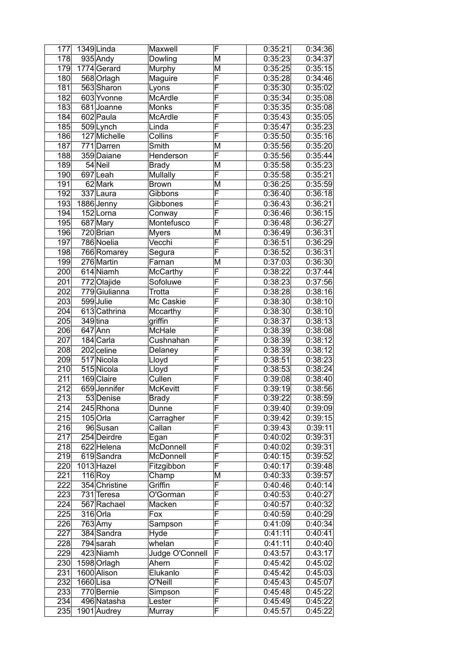| 177               |          | 1349 Linda    | Maxwell         | F                       | 0:35:21 | 0:34:36 |
|-------------------|----------|---------------|-----------------|-------------------------|---------|---------|
| 178               |          | 935 Andy      | Dowling         | M                       | 0:35:23 | 0:34:37 |
| 179               |          | 1774 Gerard   | Murphy          | M                       | 0:35:25 | 0:35:15 |
| 180               |          | 568 Orlagh    | Maguire         | F                       | 0:35:28 | 0:34:46 |
| 181               |          | 563 Sharon    | Lyons           | F                       | 0:35:30 | 0:35:02 |
| 182               |          | 603 Yvonne    | McArdle         | $\overline{\mathsf{F}}$ | 0:35:34 | 0:35:08 |
| 183               |          | 681 Joanne    | Monks           | $\overline{\mathsf{F}}$ | 0:35:35 | 0:35:08 |
| 184               |          | 602 Paula     | McArdle         | F                       | 0:35:43 | 0:35:05 |
| 185               |          | 509 Lynch     | Linda           | F                       | 0:35:47 | 0:35:23 |
| 186               |          | 127 Michelle  | Collins         | F                       | 0:35:50 | 0:35:16 |
| 187               |          | 771 Darren    | Smith           | M                       | 0:35:56 | 0:35:20 |
| 188               |          | 359 Daiane    | Henderson       | F                       | 0:35:56 | 0:35:44 |
| 189               |          | 54 Neil       | <b>Brady</b>    | M                       | 0:35:58 | 0:35:23 |
| 190               |          | 697 Leah      | Mullally        | F                       | 0:35:58 | 0:35:21 |
| 191               |          | 62 Mark       | <b>Brown</b>    | M                       | 0:36:25 | 0:35:59 |
| 192               |          | 337 Laura     | Gibbons         | F                       | 0:36:40 | 0:36:18 |
| 193               |          | 1886 Jenny    | Gibbones        | F                       | 0:36:43 | 0:36:21 |
| 194               |          | 152Lorna      | Conway          | F                       | 0:36:46 | 0:36:15 |
| 195               |          | 687 Mary      | Montefusco      | F                       | 0:36:48 | 0:36:27 |
| 196               |          | 720 Brian     | <b>Myers</b>    | M                       | 0:36:49 | 0:36:31 |
| 197               |          | 786 Noelia    | Vecchi          | F                       | 0:36:51 | 0:36:29 |
| 198               |          | 766 Romarey   | Segura          | F                       | 0:36:52 | 0:36:31 |
| 199               |          | 276 Martin    | Farnan          | M                       | 0:37:03 | 0:36:30 |
| 200               |          | 614 Niamh     | McCarthy        | $\overline{\mathsf{F}}$ | 0:38:22 | 0:37:44 |
| 201               |          | 772 Olajide   | Sofoluwe        | F                       | 0:38:23 | 0:37:56 |
| 202               |          | 779 Giulianna | Trotta          | F                       | 0:38:28 | 0:38:16 |
| 203               |          | 599Julie      | Mc Caskie       | F                       | 0:38:30 | 0:38:10 |
| 204               |          | 613 Cathrina  | Mccarthy        | $\overline{\mathsf{F}}$ | 0:38:30 | 0:38:10 |
| 205               |          | 349 tina      | griffin         | $\overline{\mathsf{F}}$ | 0:38:37 | 0:38:13 |
| 206               |          | $647$ Ann     | <b>McHale</b>   | F                       | 0:38:39 | 0:38:08 |
| 207               |          | 184 Carla     | Cushnahan       | F                       | 0:38:39 | 0:38:12 |
| 208               |          | 202 celine    | Delaney         | F                       | 0:38:39 | 0:38:12 |
| 209               |          | 517 Nicola    | Lloyd           | F                       | 0:38:51 | 0:38:23 |
| 210               |          | 515 Nicola    | Lloyd           | F                       | 0:38:53 | 0:38:24 |
| 211               |          | 169 Claire    | Cullen          | $\overline{\mathsf{F}}$ | 0:39:08 | 0:38:40 |
| $\overline{212}$  |          | 659 Jennifer  | <b>McKevitt</b> | F                       | 0:39:19 | 0:38:56 |
| $\overline{2}$ 13 |          | 53 Denise     | <b>Brady</b>    | $\overline{\mathsf{F}}$ | 0:39:22 | 0:38:59 |
| 214               |          | 245 Rhona     | Dunne           | F                       | 0:39:40 | 0:39:09 |
| 215               |          | $105$ Orla    | Carragher       | F                       | 0:39:42 | 0:39:15 |
| 216               |          | 96 Susan      | Callan          | F                       | 0:39:43 | 0:39:11 |
| $\overline{217}$  |          | 254 Deirdre   | Egan            | F                       | 0:40:02 | 0:39:31 |
| 218               |          | 622 Helena    | McDonnell       | F                       | 0:40:02 | 0:39:31 |
| 219               |          | 619 Sandra    | McDonnell       | F                       | 0:40:15 | 0:39:52 |
| 220               |          | 1013 Hazel    | Fitzgibbon      | F                       | 0:40:17 | 0:39:48 |
| 221               |          | 116 Roy       | Champ           | M                       | 0:40:33 | 0:39:57 |
| 222               |          | 354 Christine | Griffin         | $\overline{\mathsf{F}}$ | 0:40:46 | 0:40:14 |
| 223               |          | 731 Teresa    | O'Gorman        | $\overline{\mathsf{F}}$ | 0:40:53 | 0:40:27 |
| 224               |          | 567 Rachael   | Macken          | $\overline{\mathsf{F}}$ | 0:40:57 | 0:40:32 |
| 225               |          | 316 Orla      | Fox             | F                       | 0:40:59 | 0:40:29 |
| 226               |          | 763 Amy       | Sampson         | F                       | 0:41:09 | 0:40:34 |
| 227               |          | 384 Sandra    | Hyde            | $\overline{\mathsf{F}}$ | 0:41:11 | 0:40:41 |
| 228               |          | 794 sarah     | whelan          | F                       | 0:41:11 | 0:40:40 |
| 229               |          | 423 Niamh     | Judge O'Connell | F                       | 0:43:57 | 0:43:17 |
| 230               |          | 1598 Orlagh   | Ahern           | F                       | 0:45:42 | 0:45:02 |
| 231               |          | 1600 Alison   | Elukanlo        | F                       | 0:45:42 | 0:45:03 |
| 232               | 1660Lisa |               | O'Neill         | F                       | 0:45:43 | 0:45:07 |
| 233               |          | 770 Bernie    | Simpson         | F                       | 0:45:48 | 0:45:22 |
| 234               |          | 496 Natasha   | Lester          | $\overline{\mathsf{F}}$ | 0:45:49 | 0:45:22 |
| 235               |          | 1901 Audrey   | Murray          | $\overline{\mathsf{F}}$ | 0:45:57 | 0:45:22 |